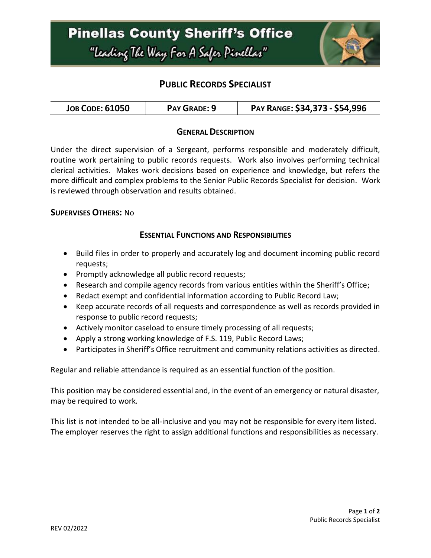

# **PUBLIC RECORDS SPECIALIST**

| <b>JOB CODE: 61050</b> | PAY GRADE: 9 | PAY RANGE: \$34,373 - \$54,996 |
|------------------------|--------------|--------------------------------|
|------------------------|--------------|--------------------------------|

### **GENERAL DESCRIPTION**

Under the direct supervision of a Sergeant, performs responsible and moderately difficult, routine work pertaining to public records requests. Work also involves performing technical clerical activities. Makes work decisions based on experience and knowledge, but refers the more difficult and complex problems to the Senior Public Records Specialist for decision. Work is reviewed through observation and results obtained.

#### **SUPERVISES OTHERS:** No

## **ESSENTIAL FUNCTIONS AND RESPONSIBILITIES**

- Build files in order to properly and accurately log and document incoming public record requests;
- Promptly acknowledge all public record requests;
- Research and compile agency records from various entities within the Sheriff's Office;
- Redact exempt and confidential information according to Public Record Law;
- Keep accurate records of all requests and correspondence as well as records provided in response to public record requests;
- Actively monitor caseload to ensure timely processing of all requests;
- Apply a strong working knowledge of F.S. 119, Public Record Laws;
- Participates in Sheriff's Office recruitment and community relations activities as directed.

Regular and reliable attendance is required as an essential function of the position.

This position may be considered essential and, in the event of an emergency or natural disaster, may be required to work.

This list is not intended to be all-inclusive and you may not be responsible for every item listed. The employer reserves the right to assign additional functions and responsibilities as necessary.